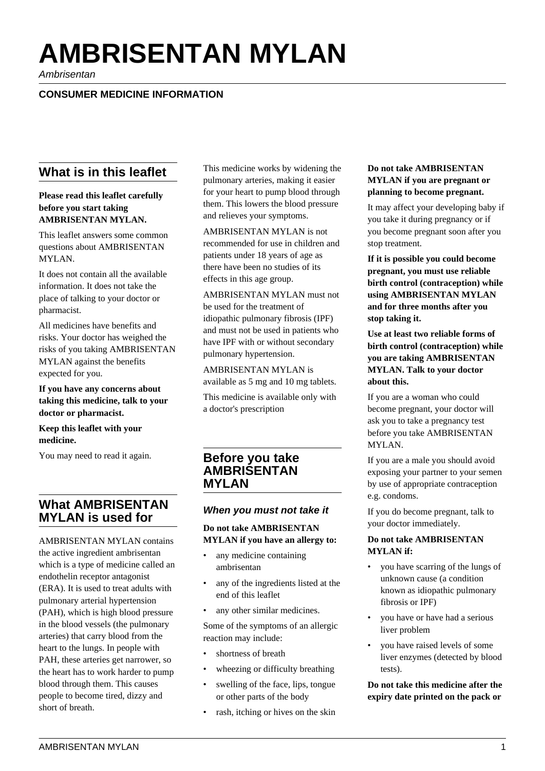# **AMBRISENTAN MYLAN**

Ambrisentan

# **CONSUMER MEDICINE INFORMATION**

# **What is in this leaflet**

**Please read this leaflet carefully before you start taking AMBRISENTAN MYLAN.**

This leaflet answers some common questions about AMBRISENTAN MYLAN.

It does not contain all the available information. It does not take the place of talking to your doctor or pharmacist.

All medicines have benefits and risks. Your doctor has weighed the risks of you taking AMBRISENTAN MYLAN against the benefits expected for you.

**If you have any concerns about taking this medicine, talk to your doctor or pharmacist.**

**Keep this leaflet with your medicine.**

You may need to read it again.

# **What AMBRISENTAN MYLAN is used for**

AMBRISENTAN MYLAN contains the active ingredient ambrisentan which is a type of medicine called an endothelin receptor antagonist (ERA). It is used to treat adults with pulmonary arterial hypertension (PAH), which is high blood pressure in the blood vessels (the pulmonary arteries) that carry blood from the heart to the lungs. In people with PAH, these arteries get narrower, so the heart has to work harder to pump blood through them. This causes people to become tired, dizzy and short of breath.

This medicine works by widening the pulmonary arteries, making it easier for your heart to pump blood through them. This lowers the blood pressure and relieves your symptoms.

AMBRISENTAN MYLAN is not recommended for use in children and patients under 18 years of age as there have been no studies of its effects in this age group.

AMBRISENTAN MYLAN must not be used for the treatment of idiopathic pulmonary fibrosis (IPF) and must not be used in patients who have IPF with or without secondary pulmonary hypertension.

AMBRISENTAN MYLAN is available as 5 mg and 10 mg tablets.

This medicine is available only with a doctor's prescription

# **Before you take AMBRISENTAN MYLAN**

## **When you must not take it**

## **Do not take AMBRISENTAN MYLAN if you have an allergy to:**

- any medicine containing ambrisentan
- any of the ingredients listed at the end of this leaflet
- any other similar medicines.

Some of the symptoms of an allergic reaction may include:

- shortness of breath
- wheezing or difficulty breathing
- swelling of the face, lips, tongue or other parts of the body
- rash, itching or hives on the skin

#### **Do not take AMBRISENTAN MYLAN if you are pregnant or planning to become pregnant.**

It may affect your developing baby if you take it during pregnancy or if you become pregnant soon after you stop treatment.

**If it is possible you could become pregnant, you must use reliable birth control (contraception) while using AMBRISENTAN MYLAN and for three months after you stop taking it.**

**Use at least two reliable forms of birth control (contraception) while you are taking AMBRISENTAN MYLAN. Talk to your doctor about this.**

If you are a woman who could become pregnant, your doctor will ask you to take a pregnancy test before you take AMBRISENTAN MYLAN.

If you are a male you should avoid exposing your partner to your semen by use of appropriate contraception e.g. condoms.

If you do become pregnant, talk to your doctor immediately.

## **Do not take AMBRISENTAN MYLAN if:**

- you have scarring of the lungs of unknown cause (a condition known as idiopathic pulmonary fibrosis or IPF)
- you have or have had a serious liver problem
- you have raised levels of some liver enzymes (detected by blood tests).

**Do not take this medicine after the expiry date printed on the pack or**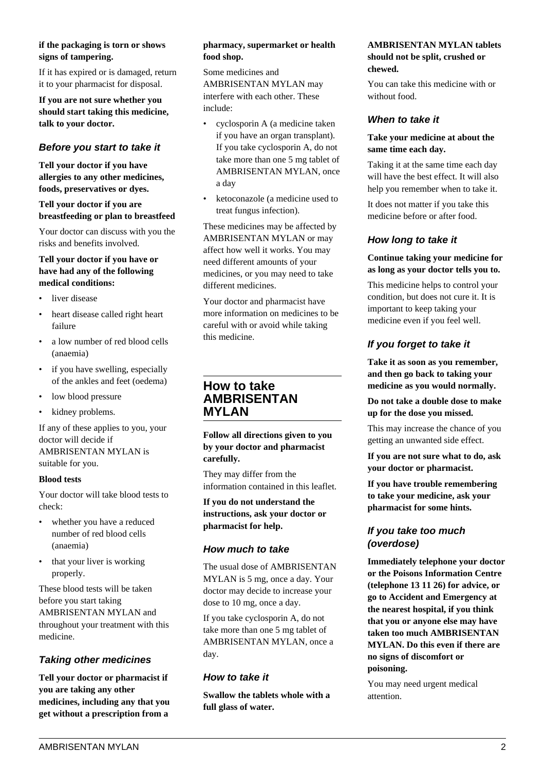## **if the packaging is torn or shows signs of tampering.**

If it has expired or is damaged, return it to your pharmacist for disposal.

**If you are not sure whether you should start taking this medicine, talk to your doctor.**

# **Before you start to take it**

**Tell your doctor if you have allergies to any other medicines, foods, preservatives or dyes.**

## **Tell your doctor if you are breastfeeding or plan to breastfeed**

Your doctor can discuss with you the risks and benefits involved.

## **Tell your doctor if you have or have had any of the following medical conditions:**

- liver disease
- heart disease called right heart failure
- a low number of red blood cells (anaemia)
- if you have swelling, especially of the ankles and feet (oedema)
- low blood pressure
- kidney problems.

If any of these applies to you, your doctor will decide if AMBRISENTAN MYLAN is suitable for you.

#### **Blood tests**

Your doctor will take blood tests to check:

- whether you have a reduced number of red blood cells (anaemia)
- that your liver is working properly.

These blood tests will be taken before you start taking AMBRISENTAN MYLAN and throughout your treatment with this medicine.

# **Taking other medicines**

**Tell your doctor or pharmacist if you are taking any other medicines, including any that you get without a prescription from a**

#### **pharmacy, supermarket or health food shop.**

Some medicines and AMBRISENTAN MYLAN may interfere with each other. These include:

- cyclosporin A (a medicine taken if you have an organ transplant). If you take cyclosporin A, do not take more than one 5 mg tablet of AMBRISENTAN MYLAN, once a day
- ketoconazole (a medicine used to treat fungus infection).

These medicines may be affected by AMBRISENTAN MYLAN or may affect how well it works. You may need different amounts of your medicines, or you may need to take different medicines.

Your doctor and pharmacist have more information on medicines to be careful with or avoid while taking this medicine.

# **How to take AMBRISENTAN MYLAN**

**Follow all directions given to you by your doctor and pharmacist carefully.**

They may differ from the information contained in this leaflet.

**If you do not understand the instructions, ask your doctor or pharmacist for help.**

# **How much to take**

The usual dose of AMBRISENTAN MYLAN is 5 mg, once a day. Your doctor may decide to increase your dose to 10 mg, once a day.

If you take cyclosporin A, do not take more than one 5 mg tablet of AMBRISENTAN MYLAN, once a day.

## **How to take it**

**Swallow the tablets whole with a full glass of water.**

## **AMBRISENTAN MYLAN tablets should not be split, crushed or chewed.**

You can take this medicine with or without food.

## **When to take it**

#### **Take your medicine at about the same time each day.**

Taking it at the same time each day will have the best effect. It will also help you remember when to take it.

It does not matter if you take this medicine before or after food.

## **How long to take it**

#### **Continue taking your medicine for as long as your doctor tells you to.**

This medicine helps to control your condition, but does not cure it. It is important to keep taking your medicine even if you feel well.

# **If you forget to take it**

**Take it as soon as you remember, and then go back to taking your medicine as you would normally.**

**Do not take a double dose to make up for the dose you missed.**

This may increase the chance of you getting an unwanted side effect.

**If you are not sure what to do, ask your doctor or pharmacist.**

**If you have trouble remembering to take your medicine, ask your pharmacist for some hints.**

## **If you take too much (overdose)**

**Immediately telephone your doctor or the Poisons Information Centre (telephone 13 11 26) for advice, or go to Accident and Emergency at the nearest hospital, if you think that you or anyone else may have taken too much AMBRISENTAN MYLAN. Do this even if there are no signs of discomfort or poisoning.**

You may need urgent medical attention.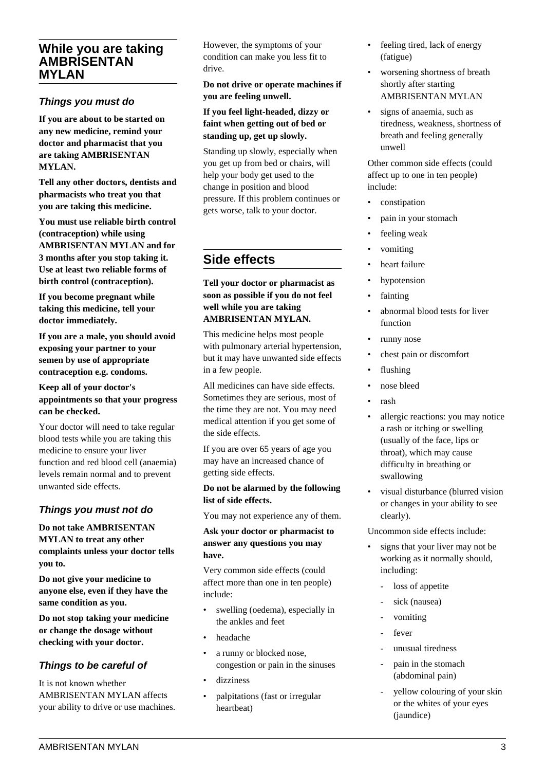# **While you are taking AMBRISENTAN MYLAN**

## **Things you must do**

**If you are about to be started on any new medicine, remind your doctor and pharmacist that you are taking AMBRISENTAN MYLAN.**

**Tell any other doctors, dentists and pharmacists who treat you that you are taking this medicine.**

**You must use reliable birth control (contraception) while using AMBRISENTAN MYLAN and for 3 months after you stop taking it. Use at least two reliable forms of** birth control (contraception).

**If you become pregnant while taking this medicine, tell your doctor immediately.**

**If you are a male, you should avoid exposing your partner to your semen by use of appropriate contraception e.g. condoms.**

## **Keep all of your doctor's appointments so that your progress can be checked.**

Your doctor will need to take regular blood tests while you are taking this medicine to ensure your liver function and red blood cell (anaemia) levels remain normal and to prevent unwanted side effects.

# **Things you must not do**

## **Do not take AMBRISENTAN MYLAN to treat any other complaints unless your doctor tells you to.**

**Do not give your medicine to anyone else, even if they have the same condition as you.**

**Do not stop taking your medicine or change the dosage without checking with your doctor.**

# **Things to be careful of**

It is not known whether AMBRISENTAN MYLAN affects your ability to drive or use machines. However, the symptoms of your condition can make you less fit to drive.

**Do not drive or operate machines if you are feeling unwell.**

## **If you feel light-headed, dizzy or faint when getting out of bed or standing up, get up slowly.**

Standing up slowly, especially when you get up from bed or chairs, will help your body get used to the change in position and blood pressure. If this problem continues or gets worse, talk to your doctor.

# **Side effects**

## **Tell your doctor or pharmacist as soon as possible if you do not feel well while you are taking AMBRISENTAN MYLAN.**

This medicine helps most people with pulmonary arterial hypertension, but it may have unwanted side effects in a few people.

All medicines can have side effects. Sometimes they are serious, most of the time they are not. You may need medical attention if you get some of the side effects.

If you are over 65 years of age you may have an increased chance of getting side effects.

## **Do not be alarmed by the following list of side effects.**

You may not experience any of them.

## **Ask your doctor or pharmacist to answer any questions you may have.**

Very common side effects (could affect more than one in ten people) include:

- swelling (oedema), especially in the ankles and feet
- headache
- a runny or blocked nose, congestion or pain in the sinuses
- dizziness
- palpitations (fast or irregular heartbeat)
- feeling tired, lack of energy (fatigue)
- worsening shortness of breath shortly after starting AMBRISENTAN MYLAN
- signs of anaemia, such as tiredness, weakness, shortness of breath and feeling generally unwell

Other common side effects (could affect up to one in ten people) include:

- constipation
- pain in your stomach
- feeling weak
- vomiting
- heart failure
- hypotension
- fainting
- abnormal blood tests for liver function
- runny nose
- chest pain or discomfort
- flushing
- nose bleed
- rash
- allergic reactions: you may notice a rash or itching or swelling (usually of the face, lips or throat), which may cause difficulty in breathing or swallowing
- visual disturbance (blurred vision or changes in your ability to see clearly).

Uncommon side effects include:

- signs that your liver may not be working as it normally should, including:
	- loss of appetite
	- sick (nausea)
	- vomiting
	- fever
	- unusual tiredness
	- pain in the stomach (abdominal pain)
	- yellow colouring of your skin or the whites of your eyes (jaundice)